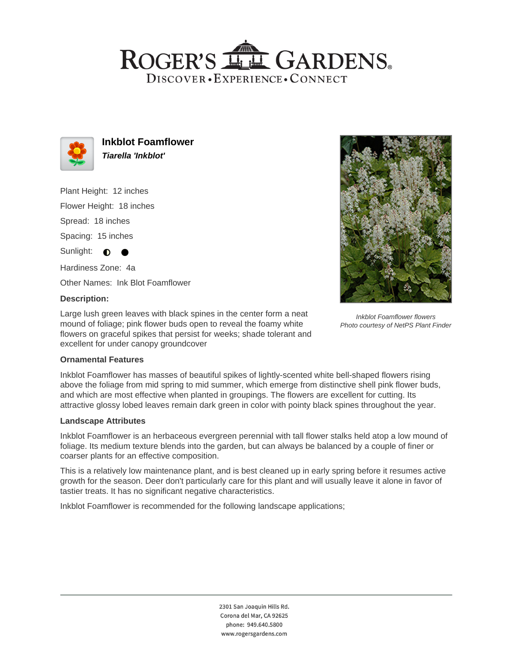## ROGER'S LL GARDENS. DISCOVER · EXPERIENCE · CONNECT



**Inkblot Foamflower Tiarella 'Inkblot'**

Plant Height: 12 inches

Flower Height: 18 inches

Spread: 18 inches

Spacing: 15 inches

Sunlight:  $\bigcirc$ 

Hardiness Zone: 4a

Other Names: Ink Blot Foamflower

## **Description:**

Large lush green leaves with black spines in the center form a neat mound of foliage; pink flower buds open to reveal the foamy white flowers on graceful spikes that persist for weeks; shade tolerant and excellent for under canopy groundcover



Inkblot Foamflower flowers Photo courtesy of NetPS Plant Finder

## **Ornamental Features**

Inkblot Foamflower has masses of beautiful spikes of lightly-scented white bell-shaped flowers rising above the foliage from mid spring to mid summer, which emerge from distinctive shell pink flower buds, and which are most effective when planted in groupings. The flowers are excellent for cutting. Its attractive glossy lobed leaves remain dark green in color with pointy black spines throughout the year.

#### **Landscape Attributes**

Inkblot Foamflower is an herbaceous evergreen perennial with tall flower stalks held atop a low mound of foliage. Its medium texture blends into the garden, but can always be balanced by a couple of finer or coarser plants for an effective composition.

This is a relatively low maintenance plant, and is best cleaned up in early spring before it resumes active growth for the season. Deer don't particularly care for this plant and will usually leave it alone in favor of tastier treats. It has no significant negative characteristics.

Inkblot Foamflower is recommended for the following landscape applications;